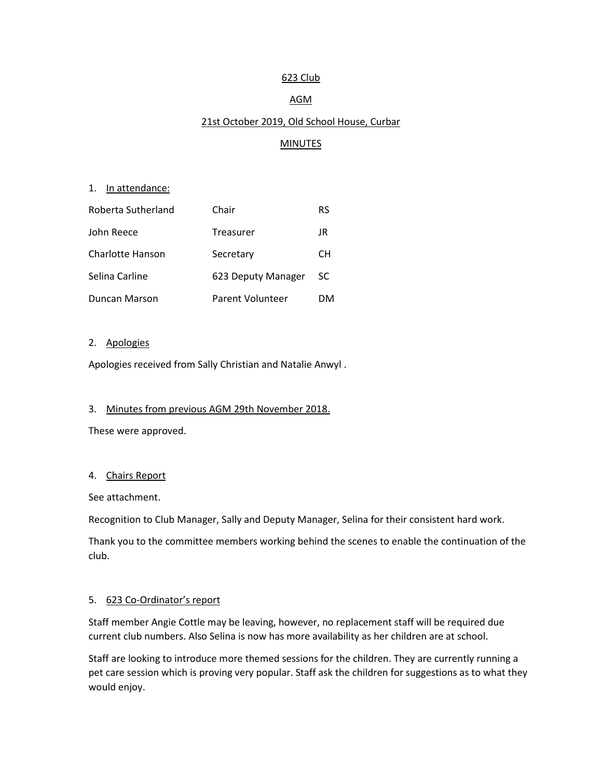## 623 Club

# AGM

# 21st October 2019, Old School House, Curbar

# **MINUTES**

## 1. In attendance:

| Roberta Sutherland | Chair              | RS  |
|--------------------|--------------------|-----|
| John Reece         | Treasurer          | JR  |
| Charlotte Hanson   | Secretary          | CН  |
| Selina Carline     | 623 Deputy Manager | SC. |
| Duncan Marson      | Parent Volunteer   | DМ  |

#### 2. Apologies

Apologies received from Sally Christian and Natalie Anwyl .

#### 3. Minutes from previous AGM 29th November 2018.

These were approved.

## 4. Chairs Report

See attachment.

Recognition to Club Manager, Sally and Deputy Manager, Selina for their consistent hard work.

Thank you to the committee members working behind the scenes to enable the continuation of the club.

#### 5. 623 Co-Ordinator's report

Staff member Angie Cottle may be leaving, however, no replacement staff will be required due current club numbers. Also Selina is now has more availability as her children are at school.

Staff are looking to introduce more themed sessions for the children. They are currently running a pet care session which is proving very popular. Staff ask the children for suggestions as to what they would enjoy.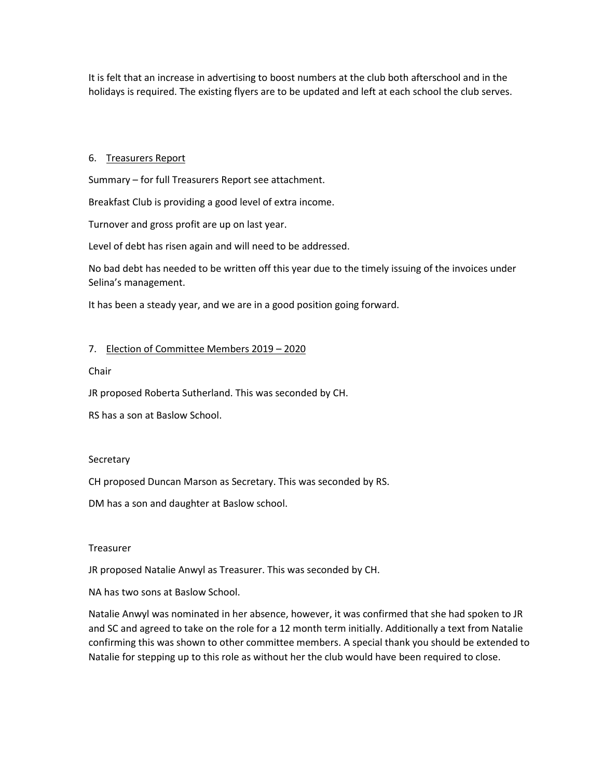It is felt that an increase in advertising to boost numbers at the club both afterschool and in the holidays is required. The existing flyers are to be updated and left at each school the club serves.

## 6. Treasurers Report

Summary – for full Treasurers Report see attachment.

Breakfast Club is providing a good level of extra income.

Turnover and gross profit are up on last year.

Level of debt has risen again and will need to be addressed.

No bad debt has needed to be written off this year due to the timely issuing of the invoices under Selina's management.

It has been a steady year, and we are in a good position going forward.

## 7. Election of Committee Members 2019 – 2020

Chair

JR proposed Roberta Sutherland. This was seconded by CH.

RS has a son at Baslow School.

#### **Secretary**

CH proposed Duncan Marson as Secretary. This was seconded by RS.

DM has a son and daughter at Baslow school.

#### Treasurer

JR proposed Natalie Anwyl as Treasurer. This was seconded by CH.

NA has two sons at Baslow School.

Natalie Anwyl was nominated in her absence, however, it was confirmed that she had spoken to JR and SC and agreed to take on the role for a 12 month term initially. Additionally a text from Natalie confirming this was shown to other committee members. A special thank you should be extended to Natalie for stepping up to this role as without her the club would have been required to close.